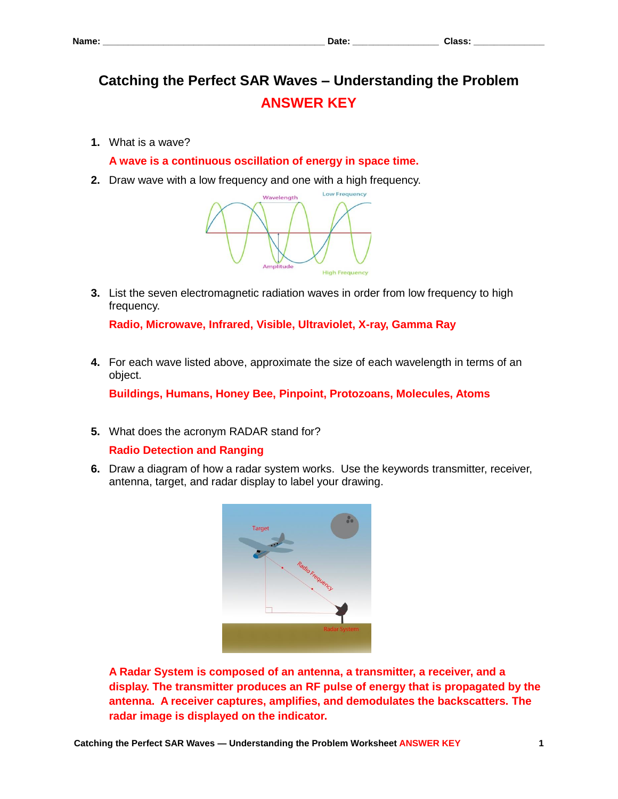# **Catching the Perfect SAR Waves – Understanding the Problem ANSWER KEY**

**1.** What is a wave?

**A wave is a continuous oscillation of energy in space time.**

**2.** Draw wave with a low frequency and one with a high frequency.



**3.** List the seven electromagnetic radiation waves in order from low frequency to high frequency.

**Radio, Microwave, Infrared, Visible, Ultraviolet, X-ray, Gamma Ray**

**4.** For each wave listed above, approximate the size of each wavelength in terms of an object.

**Buildings, Humans, Honey Bee, Pinpoint, Protozoans, Molecules, Atoms**

**5.** What does the acronym RADAR stand for?

# **Radio Detection and Ranging**

**6.** Draw a diagram of how a radar system works. Use the keywords transmitter, receiver, antenna, target, and radar display to label your drawing.



**A Radar System is composed of an antenna, a transmitter, a receiver, and a display. The transmitter produces an RF pulse of energy that is propagated by the antenna. A receiver captures, amplifies, and demodulates the backscatters. The radar image is displayed on the indicator.**